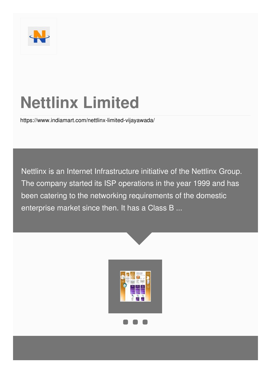

# **Nettlinx Limited**

<https://www.indiamart.com/nettlinx-limited-vijayawada/>

Nettlinx is an Internet Infrastructure initiative of the Nettlinx Group. The company started its ISP operations in the year 1999 and has been catering to the networking requirements of the domestic enterprise market since then. It has a Class B ...

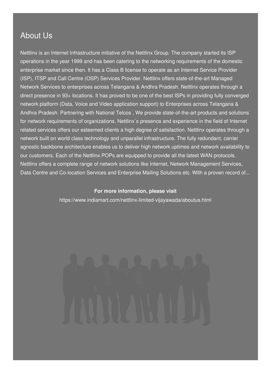### About Us

Nettlinx is an Internet Infrastructure initiative of the Nettlinx Group. The company started its ISP operations in the year 1999 and has been catering to the networking requirements of the domestic enterprise market since then. It has a Class B license to operate as an Internet Service Provider (ISP), ITSP and Call Centre (OSP) Services Provider. Nettlinx offers state-of-the-art Managed Network Services to enterprises across Telangana & Andhra Pradesh. Nettlinx operates through a direct presence in 93+ locations. It has proved to be one of the best ISPs in providing fully converged network platform (Data, Voice and Video application support) to Enterprises across Telangana & Andhra Pradesh. Partnering with National Telcos , We provide state-of-the-art products and solutions for network requirements of organizations. Nettlinx`s presence and experience in the field of Internet related services offers our esteemed clients a high degree of satisfaction. Nettlinx operates through a network built on world class technology and unparallel infrastructure. The fully redundant, carrier agnostic backbone architecture enables us to deliver high network uptimes and network availability to our customers. Each of the Nettlinx POPs are equipped to provide all the latest WAN protocols. Nettlinx offers a complete range of network solutions like Internet, Network Management Services, Data Centre and Co-location Services and Enterprise Mailing Solutions etc. With a proven record of...

#### **For more information, please visit**

<https://www.indiamart.com/nettlinx-limited-vijayawada/aboutus.html>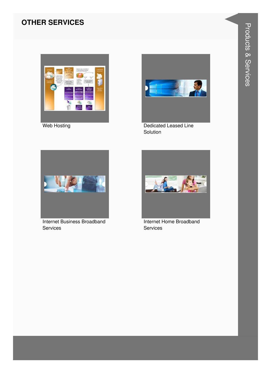#### **OTHER SERVICES**



Web Hosting



Dedicated Leased Line Solution



**Internet Business Broadband Services** 



Internet Home Broadband Services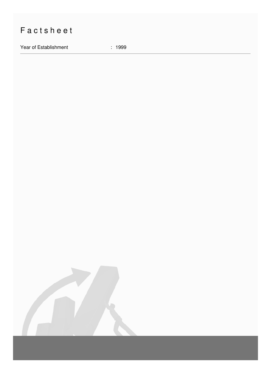## Factsheet

Year of Establishment : 1999